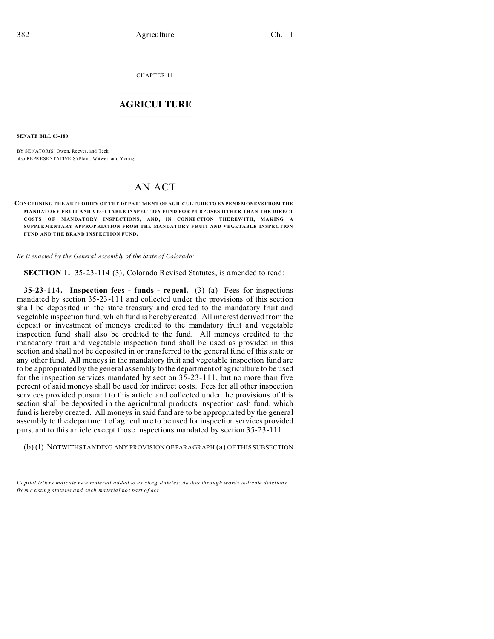CHAPTER 11  $\overline{\phantom{a}}$  , where  $\overline{\phantom{a}}$ 

## **AGRICULTURE**  $\_$   $\_$   $\_$   $\_$   $\_$   $\_$   $\_$   $\_$

**SENATE BILL 03-180**

)))))

BY SENATOR(S) Owen, Reeves, and Teck; also REPRESENTATIVE(S) Plant, Witwer, and You ng.

# AN ACT

#### **CONCERNING THE AUTHORITY OF THE DEPARTMENT OF AGRICULTURE TO EXPEND MONEYSFROM THE MANDATORY FRUIT AND VEGETABLE INSPECTION FUND FOR P URPOSES O THER THAN THE DIRECT COSTS OF MANDATORY INSPECTIONS, AND, IN CONNE CTION THE REW ITH, MAKING A SUPPLE MENTARY APPROP RIATION FROM THE MANDATORY F RUIT AND VEGETABLE INSPECTION FUND AND THE BRAND INSPECTION FUND.**

*Be it enacted by the General Assembly of the State of Colorado:*

**SECTION 1.** 35-23-114 (3), Colorado Revised Statutes, is amended to read:

**35-23-114. Inspection fees - funds - repeal.** (3) (a) Fees for inspections mandated by section 35-23-111 and collected under the provisions of this section shall be deposited in the state treasury and credited to the mandatory fruit and vegetable inspection fund, which fund is hereby created. All interest derived from the deposit or investment of moneys credited to the mandatory fruit and vegetable inspection fund shall also be credited to the fund. All moneys credited to the mandatory fruit and vegetable inspection fund shall be used as provided in this section and shall not be deposited in or transferred to the general fund of this state or any other fund. All moneys in the mandatory fruit and vegetable inspection fund are to be appropriated by the general assembly to the department of agriculture to be used for the inspection services mandated by section 35-23-111, but no more than five percent of said moneys shall be used for indirect costs. Fees for all other inspection services provided pursuant to this article and collected under the provisions of this section shall be deposited in the agricultural products inspection cash fund, which fund is hereby created. All moneys in said fund are to be appropriated by the general assembly to the department of agriculture to be used for inspection services provided pursuant to this article except those inspections mandated by section 35-23-111.

(b) (I) NOTWITHSTANDING ANY PROVISION OF PARAGRAPH (a) OF THIS SUBSECTION

*Capital letters indicate new material added to existing statutes; dashes through words indicate deletions from e xistin g statu tes a nd such ma teria l no t pa rt of ac t.*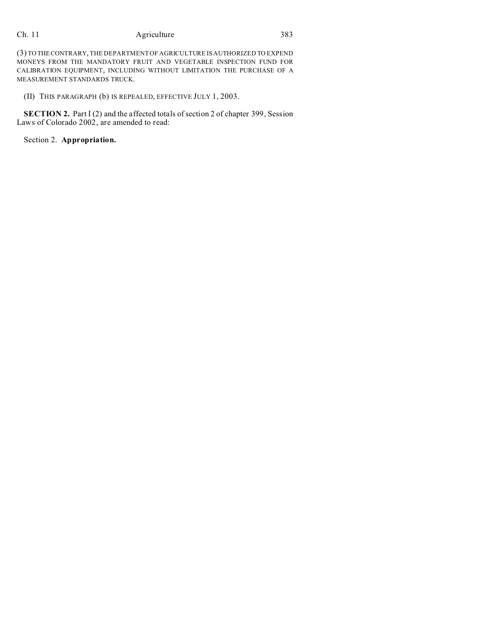# Ch. 11 Agriculture 383

(3) TO THECONTRARY, THE DEPARTMENT OF AGRICULTURE IS AUTHORIZED TO EXPEND MONEYS FROM THE MANDATORY FRUIT AND VEGETABLE INSPECTION FUND FOR CALIBRATION EQUIPMENT, INCLUDING WITHOUT LIMITATION THE PURCHASE OF A MEASUREMENT STANDARDS TRUCK.

(II) THIS PARAGRAPH (b) IS REPEALED, EFFECTIVE JULY 1, 2003.

**SECTION 2.** Part I (2) and the affected totals of section 2 of chapter 399, Session Laws of Colorado 2002, are amended to read:

Section 2. **Appropriation.**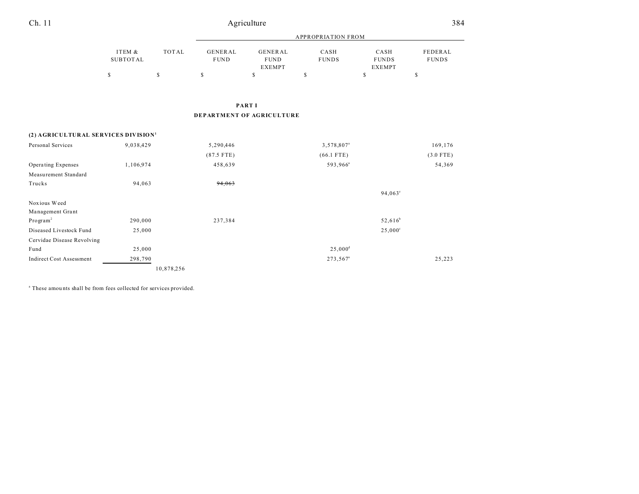| Ch. 11                                          |                           | 384          |                        |                                                |                        |                                       |                         |  |  |  |
|-------------------------------------------------|---------------------------|--------------|------------------------|------------------------------------------------|------------------------|---------------------------------------|-------------------------|--|--|--|
|                                                 |                           |              |                        |                                                |                        |                                       |                         |  |  |  |
|                                                 | ITEM &<br><b>SUBTOTAL</b> | <b>TOTAL</b> | GENERAL<br><b>FUND</b> | <b>GENERAL</b><br><b>FUND</b><br><b>EXEMPT</b> | CASH<br><b>FUNDS</b>   | CASH<br><b>FUNDS</b><br><b>EXEMPT</b> | FEDERAL<br><b>FUNDS</b> |  |  |  |
|                                                 | \$                        | \$           | \$                     | \$                                             | $\mathbb S$            | \$                                    | \$                      |  |  |  |
|                                                 |                           |              |                        | <b>PARTI</b>                                   |                        |                                       |                         |  |  |  |
| DEPARTMENT OF AGRICULTURE                       |                           |              |                        |                                                |                        |                                       |                         |  |  |  |
| (2) AGRICULTURAL SERVICES DIVISION <sup>1</sup> |                           |              |                        |                                                |                        |                                       |                         |  |  |  |
| Personal Services                               | 9,038,429                 |              | 5,290,446              |                                                | 3,578,807 <sup>a</sup> |                                       | 169,176                 |  |  |  |
|                                                 |                           |              | $(87.5$ FTE)           |                                                | $(66.1$ FTE)           |                                       | $(3.0$ FTE)             |  |  |  |
| Operating Expenses                              | 1,106,974                 |              | 458,639                |                                                | 593,966 <sup>a</sup>   |                                       | 54,369                  |  |  |  |
| Measurement Standard                            |                           |              |                        |                                                |                        |                                       |                         |  |  |  |
| Trucks                                          | 94,063                    |              | 94,063                 |                                                |                        |                                       |                         |  |  |  |
|                                                 |                           |              |                        |                                                |                        | $94,063^{\circ}$                      |                         |  |  |  |
| Noxious Weed                                    |                           |              |                        |                                                |                        |                                       |                         |  |  |  |
| Management Grant                                |                           |              |                        |                                                |                        |                                       |                         |  |  |  |
| Program <sup>2</sup>                            | 290,000                   |              | 237,384                |                                                |                        | $52,616^b$                            |                         |  |  |  |
| Diseased Livestock Fund                         | 25,000                    |              |                        |                                                |                        | $25,000^{\circ}$                      |                         |  |  |  |
| Cervidae Disease Revolving                      |                           |              |                        |                                                |                        |                                       |                         |  |  |  |
| Fund                                            | 25,000                    |              |                        |                                                | $25,000^{\rm d}$       |                                       |                         |  |  |  |
| <b>Indirect Cost Assessment</b>                 | 298,790                   |              |                        |                                                | 273,567 <sup>a</sup>   |                                       | 25,223                  |  |  |  |
|                                                 |                           | 10,878,256   |                        |                                                |                        |                                       |                         |  |  |  |

<sup>a</sup> These amounts shall be from fees collected for services provided.